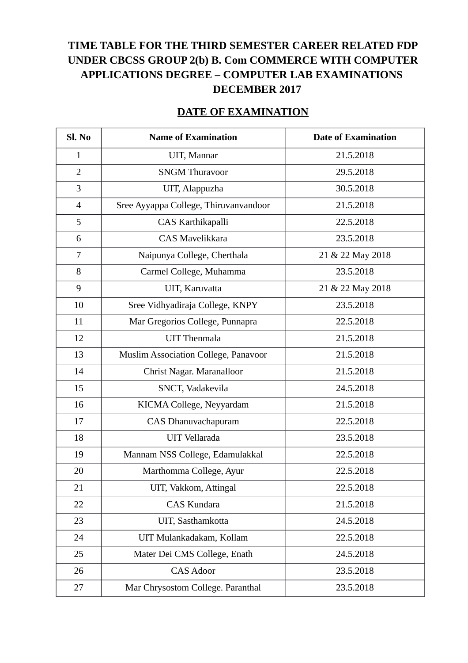## **TIME TABLE FOR THE THIRD SEMESTER CAREER RELATED FDP UNDER CBCSS GROUP 2(b) B. Com COMMERCE WITH COMPUTER APPLICATIONS DEGREE – COMPUTER LAB EXAMINATIONS DECEMBER 2017**

## **DATE OF EXAMINATION**

| Sl. No         | <b>Name of Examination</b>            | <b>Date of Examination</b> |
|----------------|---------------------------------------|----------------------------|
| $\mathbf{1}$   | UIT, Mannar                           | 21.5.2018                  |
| $\overline{2}$ | <b>SNGM Thuravoor</b>                 | 29.5.2018                  |
| 3              | UIT, Alappuzha                        | 30.5.2018                  |
| 4              | Sree Ayyappa College, Thiruvanvandoor | 21.5.2018                  |
| 5              | CAS Karthikapalli                     | 22.5.2018                  |
| 6              | <b>CAS Mavelikkara</b>                | 23.5.2018                  |
| 7              | Naipunya College, Cherthala           | 21 & 22 May 2018           |
| 8              | Carmel College, Muhamma               | 23.5.2018                  |
| 9              | UIT, Karuvatta                        | 21 & 22 May 2018           |
| 10             | Sree Vidhyadiraja College, KNPY       | 23.5.2018                  |
| 11             | Mar Gregorios College, Punnapra       | 22.5.2018                  |
| 12             | <b>UIT</b> Thenmala                   | 21.5.2018                  |
| 13             | Muslim Association College, Panavoor  | 21.5.2018                  |
| 14             | Christ Nagar. Maranalloor             | 21.5.2018                  |
| 15             | SNCT, Vadakevila                      | 24.5.2018                  |
| 16             | KICMA College, Neyyardam              | 21.5.2018                  |
| 17             | CAS Dhanuvachapuram                   | 22.5.2018                  |
| 18             | <b>UIT Vellarada</b>                  | 23.5.2018                  |
| 19             | Mannam NSS College, Edamulakkal       | 22.5.2018                  |
| 20             | Marthomma College, Ayur               | 22.5.2018                  |
| 21             | UIT, Vakkom, Attingal                 | 22.5.2018                  |
| 22             | <b>CAS Kundara</b>                    | 21.5.2018                  |
| 23             | UIT, Sasthamkotta                     | 24.5.2018                  |
| 24             | UIT Mulankadakam, Kollam              | 22.5.2018                  |
| 25             | Mater Dei CMS College, Enath          | 24.5.2018                  |
| 26             | <b>CAS Adoor</b>                      | 23.5.2018                  |
| 27             | Mar Chrysostom College. Paranthal     | 23.5.2018                  |